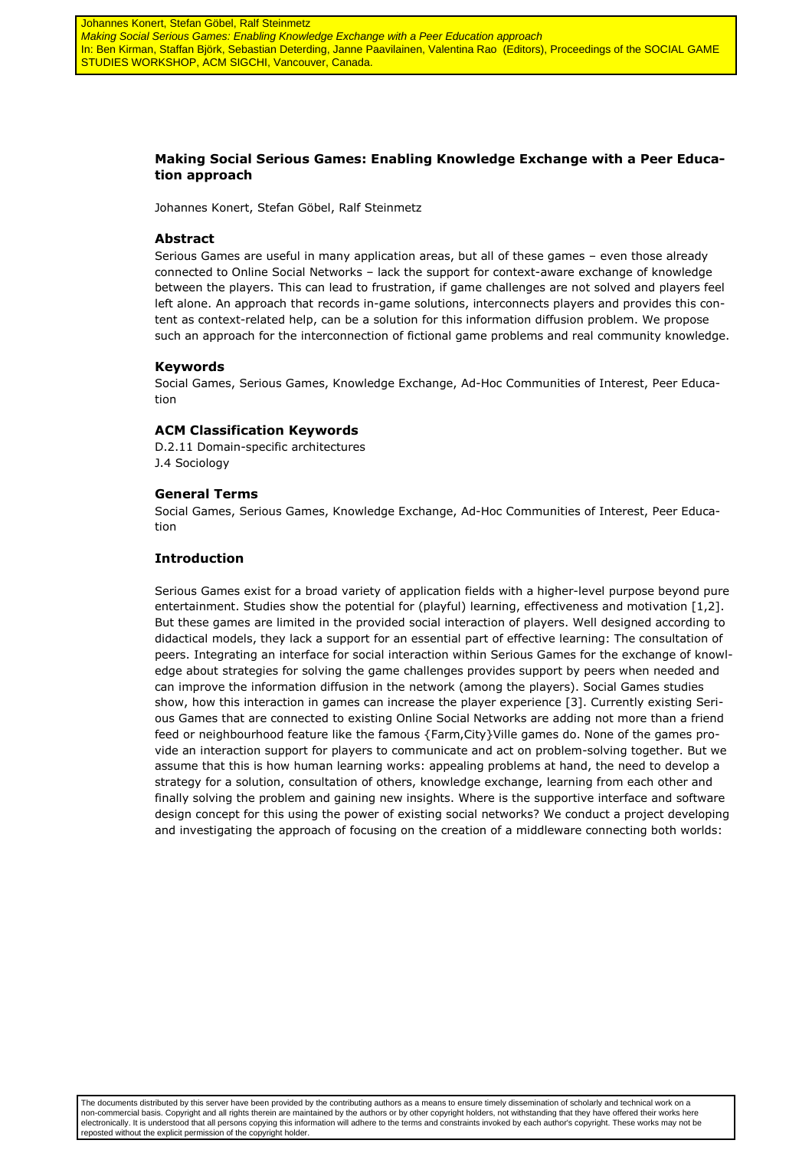# **Making Social Serious Games: Enabling Knowledge Exchange with a Peer Education approach**

Johannes Konert, Stefan Göbel, Ralf Steinmetz

# **Abstract**

Serious Games are useful in many application areas, but all of these games – even those already connected to Online Social Networks – lack the support for context-aware exchange of knowledge between the players. This can lead to frustration, if game challenges are not solved and players feel left alone. An approach that records in-game solutions, interconnects players and provides this content as context-related help, can be a solution for this information diffusion problem. We propose such an approach for the interconnection of fictional game problems and real community knowledge.

# **Keywords**

Social Games, Serious Games, Knowledge Exchange, Ad-Hoc Communities of Interest, Peer Education

# **ACM Classification Keywords**

D.2.11 Domain-specific architectures J.4 Sociology

# **General Terms**

Social Games, Serious Games, Knowledge Exchange, Ad-Hoc Communities of Interest, Peer Education

# **Introduction**

Serious Games exist for a broad variety of application fields with a higher-level purpose beyond pure entertainment. Studies show the potential for (playful) learning, effectiveness and motivation [1,2]. But these games are limited in the provided social interaction of players. Well designed according to didactical models, they lack a support for an essential part of effective learning: The consultation of peers. Integrating an interface for social interaction within Serious Games for the exchange of knowledge about strategies for solving the game challenges provides support by peers when needed and can improve the information diffusion in the network (among the players). Social Games studies show, how this interaction in games can increase the player experience [3]. Currently existing Serious Games that are connected to existing Online Social Networks are adding not more than a friend feed or neighbourhood feature like the famous {Farm,City}Ville games do. None of the games provide an interaction support for players to communicate and act on problem-solving together. But we assume that this is how human learning works: appealing problems at hand, the need to develop a strategy for a solution, consultation of others, knowledge exchange, learning from each other and finally solving the problem and gaining new insights. Where is the supportive interface and software design concept for this using the power of existing social networks? We conduct a project developing and investigating the approach of focusing on the creation of a middleware connecting both worlds:

The documents distributed by this server have been provided by the contributing authors as a means to ensure timely dissemination of scholarly and technical work on a non-commercial basis. Copyright and all rights therein are maintained by the authors or by other copyright holders, not withstanding that they have offered their works here electronically. It is understood that all persons copying this information will adhere to the terms and constraints invoked by each author's copyright. These works may not be reposted without the explicit permission of the copyright holder.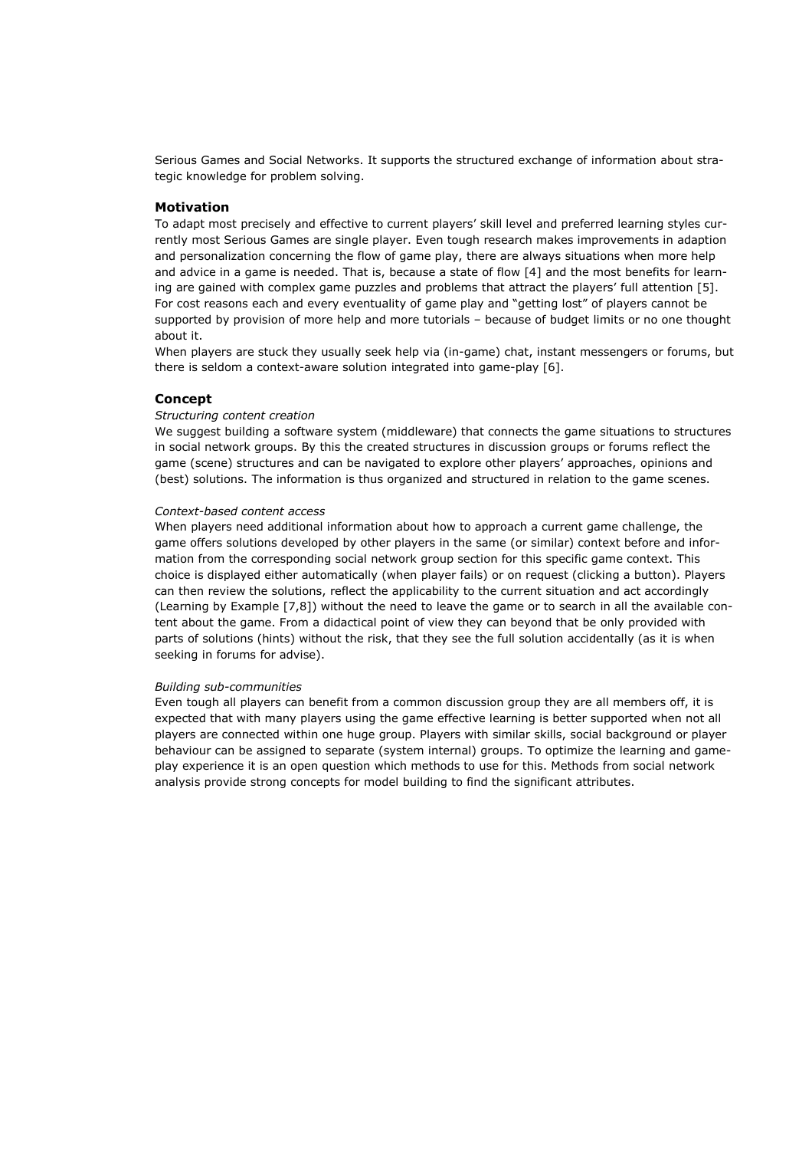Serious Games and Social Networks. It supports the structured exchange of information about strategic knowledge for problem solving.

# **Motivation**

To adapt most precisely and effective to current players' skill level and preferred learning styles currently most Serious Games are single player. Even tough research makes improvements in adaption and personalization concerning the flow of game play, there are always situations when more help and advice in a game is needed. That is, because a state of flow [4] and the most benefits for learning are gained with complex game puzzles and problems that attract the players' full attention [5]. For cost reasons each and every eventuality of game play and "getting lost" of players cannot be supported by provision of more help and more tutorials – because of budget limits or no one thought about it.

When players are stuck they usually seek help via (in-game) chat, instant messengers or forums, but there is seldom a context-aware solution integrated into game-play [6].

# **Concept**

### *Structuring content creation*

We suggest building a software system (middleware) that connects the game situations to structures in social network groups. By this the created structures in discussion groups or forums reflect the game (scene) structures and can be navigated to explore other players' approaches, opinions and (best) solutions. The information is thus organized and structured in relation to the game scenes.

### *Context-based content access*

When players need additional information about how to approach a current game challenge, the game offers solutions developed by other players in the same (or similar) context before and information from the corresponding social network group section for this specific game context. This choice is displayed either automatically (when player fails) or on request (clicking a button). Players can then review the solutions, reflect the applicability to the current situation and act accordingly (Learning by Example [7,8]) without the need to leave the game or to search in all the available content about the game. From a didactical point of view they can beyond that be only provided with parts of solutions (hints) without the risk, that they see the full solution accidentally (as it is when seeking in forums for advise).

#### *Building sub-communities*

Even tough all players can benefit from a common discussion group they are all members off, it is expected that with many players using the game effective learning is better supported when not all players are connected within one huge group. Players with similar skills, social background or player behaviour can be assigned to separate (system internal) groups. To optimize the learning and gameplay experience it is an open question which methods to use for this. Methods from social network analysis provide strong concepts for model building to find the significant attributes.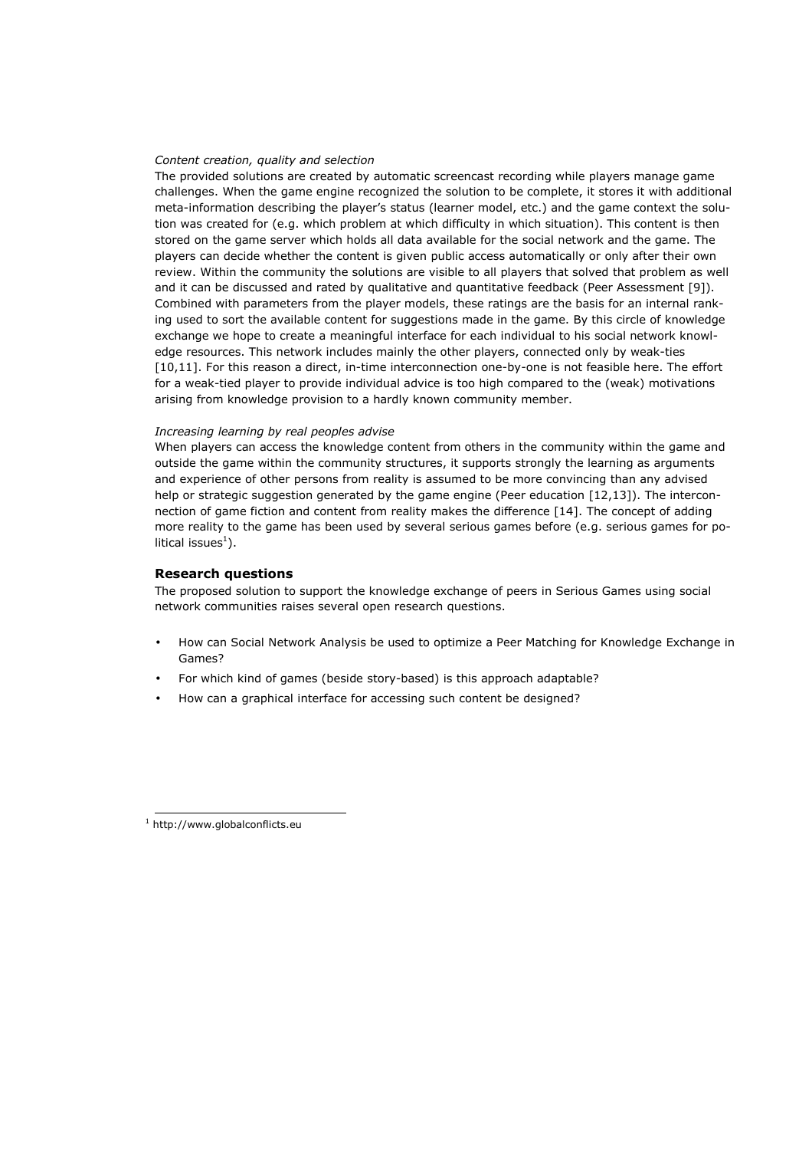#### *Content creation, quality and selection*

The provided solutions are created by automatic screencast recording while players manage game challenges. When the game engine recognized the solution to be complete, it stores it with additional meta-information describing the player's status (learner model, etc.) and the game context the solution was created for (e.g. which problem at which difficulty in which situation). This content is then stored on the game server which holds all data available for the social network and the game. The players can decide whether the content is given public access automatically or only after their own review. Within the community the solutions are visible to all players that solved that problem as well and it can be discussed and rated by qualitative and quantitative feedback (Peer Assessment [9]). Combined with parameters from the player models, these ratings are the basis for an internal ranking used to sort the available content for suggestions made in the game. By this circle of knowledge exchange we hope to create a meaningful interface for each individual to his social network knowledge resources. This network includes mainly the other players, connected only by weak-ties [10,11]. For this reason a direct, in-time interconnection one-by-one is not feasible here. The effort for a weak-tied player to provide individual advice is too high compared to the (weak) motivations arising from knowledge provision to a hardly known community member.

# *Increasing learning by real peoples advise*

When players can access the knowledge content from others in the community within the game and outside the game within the community structures, it supports strongly the learning as arguments and experience of other persons from reality is assumed to be more convincing than any advised help or strategic suggestion generated by the game engine (Peer education [12,13]). The interconnection of game fiction and content from reality makes the difference [14]. The concept of adding more reality to the game has been used by several serious games before (e.g. serious games for political issues<sup>1</sup>).

### **Research questions**

The proposed solution to support the knowledge exchange of peers in Serious Games using social network communities raises several open research questions.

- How can Social Network Analysis be used to optimize a Peer Matching for Knowledge Exchange in Games?
- For which kind of games (beside story-based) is this approach adaptable?
- How can a graphical interface for accessing such content be designed?

j

<sup>1</sup> http://www.globalconflicts.eu